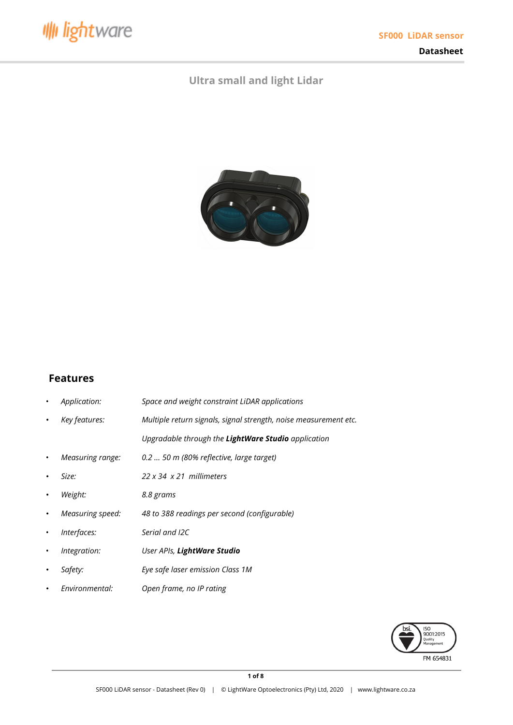

**Datasheet**

# **Ultra small and light Lidar**



# **Features**

- *Application: Space and weight constraint LiDAR applications*
- *• Key features: Multiple return signals, signal strength, noise measurement etc.*
	- *Upgradable through the LightWare Studio application*
- *Measuring range: 0.2 … 50 m (80% reflective, large target)*
- *• Size: 22 x 34 x 21 millimeters*
- *• Weight: 8.8 grams*
- *• Measuring speed: 48 to 388 readings per second (configurable)*
- *Interfaces: Serial and I2C*
- *Integration: User APIs, LightWare Studio*
- *• Safety: Eye safe laser emission Class 1M*
- *• Environmental: Open frame, no IP rating*

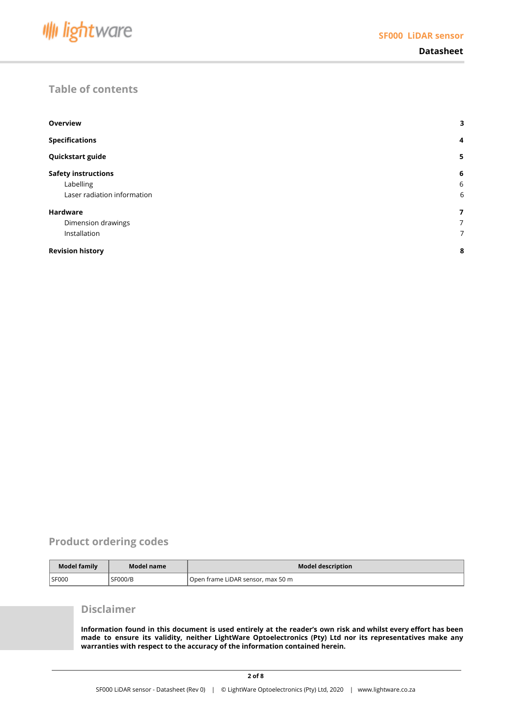

# **Table of contents**

| <b>Overview</b>             | 3              |
|-----------------------------|----------------|
| <b>Specifications</b>       | $\overline{4}$ |
| Quickstart guide            | 5              |
| <b>Safety instructions</b>  | 6              |
| Labelling                   | 6              |
| Laser radiation information | 6              |
| <b>Hardware</b>             | 7              |
| Dimension drawings          | 7              |
| Installation                | 7              |
| <b>Revision history</b>     | 8              |

# **Product ordering codes**

| Model family | Model name     | <b>Model description</b>          |
|--------------|----------------|-----------------------------------|
| SF000        | <b>SF000/B</b> | Open frame LiDAR sensor, max 50 m |

### **Disclaimer**

Information found in this document is used entirely at the reader's own risk and whilst every effort has been **made to ensure its validity, neither LightWare Optoelectronics (Pty) Ltd nor its representatives make any warranties with respect to the accuracy of the information contained herein.**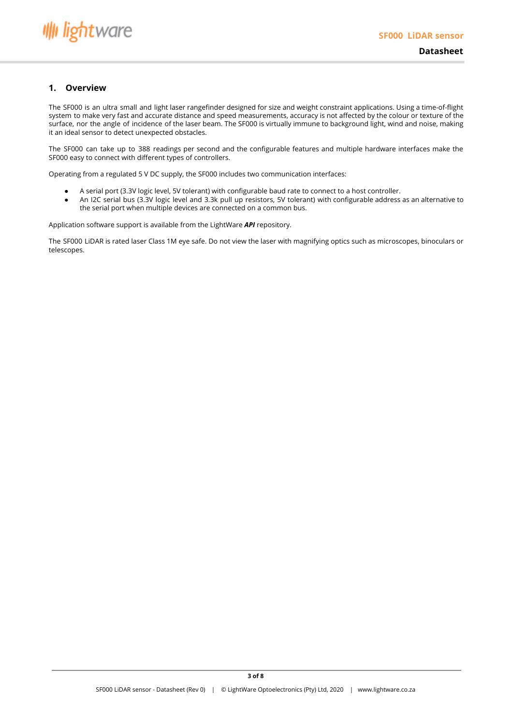

### <span id="page-2-0"></span>**1. Overview**

The SF000 is an ultra small and light laser rangefinder designed for size and weight constraint applications. Using a time-of-flight system to make very fast and accurate distance and speed measurements, accuracy is not affected by the colour or texture of the surface, nor the angle of incidence of the laser beam. The SF000 is virtually immune to background light, wind and noise, making it an ideal sensor to detect unexpected obstacles.

The SF000 can take up to 388 readings per second and the configurable features and multiple hardware interfaces make the SF000 easy to connect with different types of controllers.

Operating from a regulated 5 V DC supply, the SF000 includes two communication interfaces:

- A serial port (3.3V logic level, 5V tolerant) with configurable baud rate to connect to a host controller.
- An I2C serial bus (3.3V logic level and 3.3k pull up resistors, 5V tolerant) with configurable address as an alternative to the serial port when multiple devices are connected on a common bus.

Application software support is available from the LightWare *API* repository.

The SF000 LiDAR is rated laser Class 1M eye safe. Do not view the laser with magnifying optics such as microscopes, binoculars or telescopes.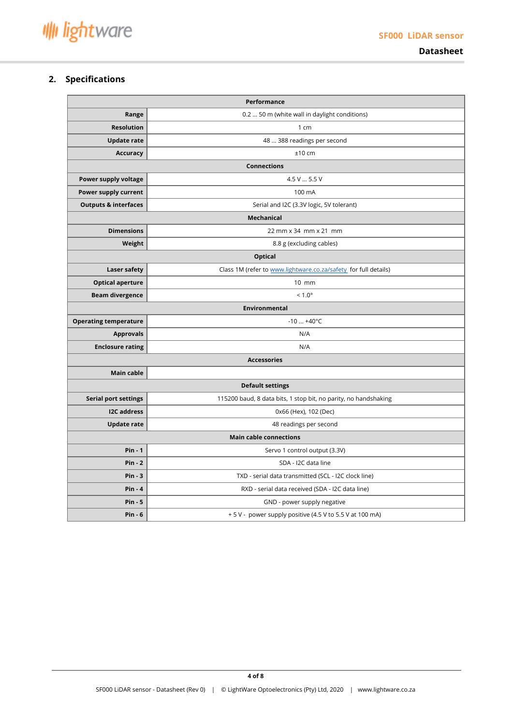**Datasheet**

## <span id="page-3-0"></span>**2. Specifications**

| <b>Performance</b>              |                                                                 |  |  |  |  |  |
|---------------------------------|-----------------------------------------------------------------|--|--|--|--|--|
| Range                           | 0.2  50 m (white wall in daylight conditions)                   |  |  |  |  |  |
| <b>Resolution</b>               | 1 cm                                                            |  |  |  |  |  |
| <b>Update rate</b>              | 48  388 readings per second                                     |  |  |  |  |  |
| <b>Accuracy</b>                 | $±10$ cm                                                        |  |  |  |  |  |
|                                 | <b>Connections</b>                                              |  |  |  |  |  |
| Power supply voltage            | 4.5 V  5.5 V                                                    |  |  |  |  |  |
| Power supply current            | 100 mA                                                          |  |  |  |  |  |
| <b>Outputs &amp; interfaces</b> | Serial and I2C (3.3V logic, 5V tolerant)                        |  |  |  |  |  |
|                                 | Mechanical                                                      |  |  |  |  |  |
| <b>Dimensions</b>               | 22 mm x 34 mm x 21 mm                                           |  |  |  |  |  |
| Weight                          | 8.8 g (excluding cables)                                        |  |  |  |  |  |
| <b>Optical</b>                  |                                                                 |  |  |  |  |  |
| Laser safety                    | Class 1M (refer to www.lightware.co.za/safety for full details) |  |  |  |  |  |
| <b>Optical aperture</b>         | 10 mm                                                           |  |  |  |  |  |
| <b>Beam divergence</b>          | $< 1.0^{\circ}$                                                 |  |  |  |  |  |
| <b>Environmental</b>            |                                                                 |  |  |  |  |  |
| <b>Operating temperature</b>    | $-10  +40$ °C                                                   |  |  |  |  |  |
| <b>Approvals</b>                | N/A                                                             |  |  |  |  |  |
| <b>Enclosure rating</b>         | N/A                                                             |  |  |  |  |  |
|                                 | <b>Accessories</b>                                              |  |  |  |  |  |
| Main cable                      |                                                                 |  |  |  |  |  |
|                                 | <b>Default settings</b>                                         |  |  |  |  |  |
| <b>Serial port settings</b>     | 115200 baud, 8 data bits, 1 stop bit, no parity, no handshaking |  |  |  |  |  |
| <b>I2C</b> address              | 0x66 (Hex), 102 (Dec)                                           |  |  |  |  |  |
| <b>Update rate</b>              | 48 readings per second                                          |  |  |  |  |  |
|                                 | <b>Main cable connections</b>                                   |  |  |  |  |  |
| $Pin - 1$                       | Servo 1 control output (3.3V)                                   |  |  |  |  |  |
| $Pin - 2$                       | SDA - I2C data line                                             |  |  |  |  |  |
| $Pin - 3$                       | TXD - serial data transmitted (SCL - I2C clock line)            |  |  |  |  |  |
| $Pin - 4$                       | RXD - serial data received (SDA - I2C data line)                |  |  |  |  |  |
| $Pin - 5$                       | GND - power supply negative                                     |  |  |  |  |  |
| $Pin - 6$                       | + 5 V - power supply positive (4.5 V to 5.5 V at 100 mA)        |  |  |  |  |  |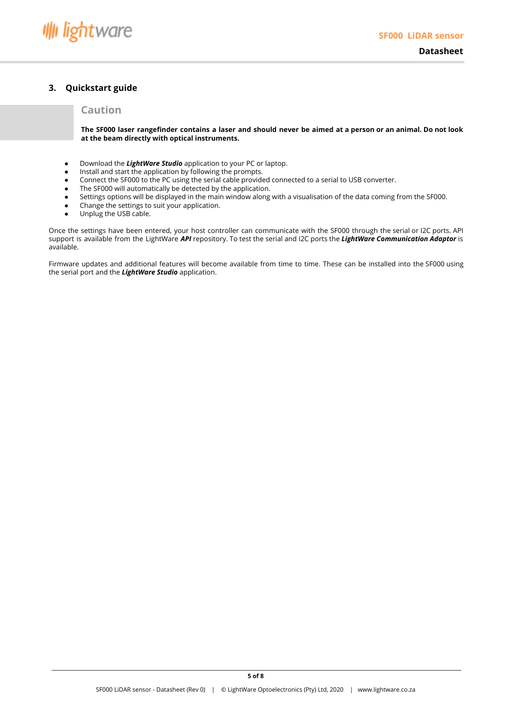## <span id="page-4-0"></span>**3. Quickstart guide**

# **Caution**

The SF000 laser rangefinder contains a laser and should never be aimed at a person or an animal. Do not look **at the beam directly with optical instruments.**

- Download the *LightWare Studio* application to your PC or laptop.
- Install and start the application by following the prompts.
- Connect the SF000 to the PC using the serial cable provided connected to a serial to USB converter.
- The SF000 will automatically be detected by the application.
- Settings options will be displayed in the main window along with a visualisation of the data coming from the SF000.
- Change the settings to suit your application.
- Unplug the USB cable.

Once the settings have been entered, your host controller can communicate with the SF000 through the serial or I2C ports. API support is available from the LightWare *API* repository. To test the serial and I2C ports the *LightWare Communication Adaptor* is available.

Firmware updates and additional features will become available from time to time. These can be installed into the SF000 using the serial port and the *LightWare Studio* application.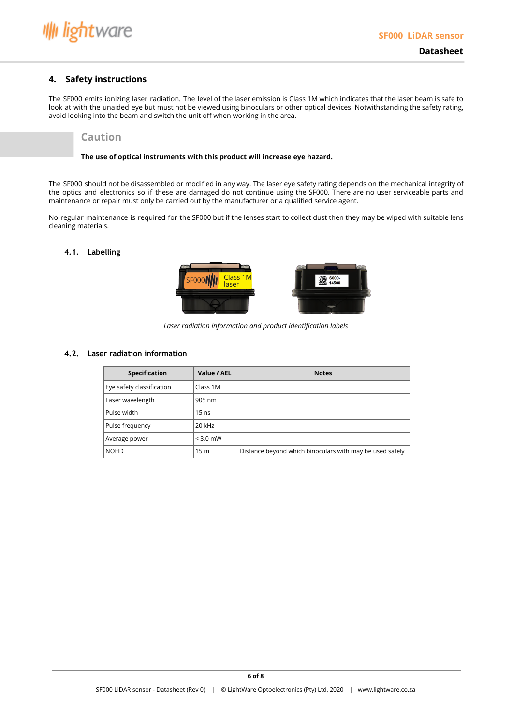

### <span id="page-5-0"></span>**4. Safety instructions**

The SF000 emits ionizing laser radiation. The level of the laser emission is Class 1M which indicates that the laser beam is safe to look at with the unaided eye but must not be viewed using binoculars or other optical devices. Notwithstanding the safety rating, avoid looking into the beam and switch the unit off when working in the area.

### **Caution**

#### **The use of optical instruments with this product will increase eye hazard.**

The SF000 should not be disassembled or modified in any way. The laser eye safety rating depends on the mechanical integrity of the optics and electronics so if these are damaged do not continue using the SF000. There are no user serviceable parts and maintenance or repair must only be carried out by the manufacturer or a qualified service agent.

No regular maintenance is required for the SF000 but if the lenses start to collect dust then they may be wiped with suitable lens cleaning materials.

### <span id="page-5-1"></span>**4.1. Labelling**



*Laser radiation information and product identification labels*

#### <span id="page-5-2"></span>**4.2. Laser radiation information**

| <b>Specification</b>      | Value / AEL     | <b>Notes</b>                                             |
|---------------------------|-----------------|----------------------------------------------------------|
| Eye safety classification | Class 1M        |                                                          |
| Laser wavelength          | 905 nm          |                                                          |
| Pulse width               | $15$ ns         |                                                          |
| Pulse frequency           | 20 kHz          |                                                          |
| Average power             | $<$ 3.0 mW      |                                                          |
| <b>NOHD</b>               | 15 <sub>m</sub> | Distance beyond which binoculars with may be used safely |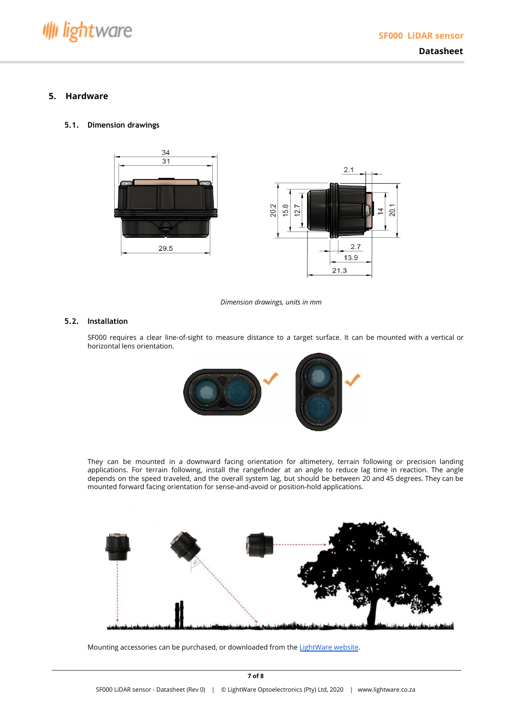

### <span id="page-6-0"></span>**5. Hardware**

#### <span id="page-6-1"></span>**5.1. Dimension drawings**



*Dimension drawings, units in mm*

#### <span id="page-6-2"></span>**5.2. Installation**

SF000 requires a clear line-of-sight to measure distance to a target surface. It can be mounted with a vertical or horizontal lens orientation.



They can be mounted in a downward facing orientation for altimetery, terrain following or precision landing applications. For terrain following, install the rangefinder at an angle to reduce lag time in reaction. The angle depends on the speed traveled, and the overall system lag, but should be between 20 and 45 degrees. They can be mounted forward facing orientation for sense-and-avoid or position-hold applications.



Mounting accessories can be purchased, or downloaded from the [LightWare](http://www.lightware.co.za/) website.